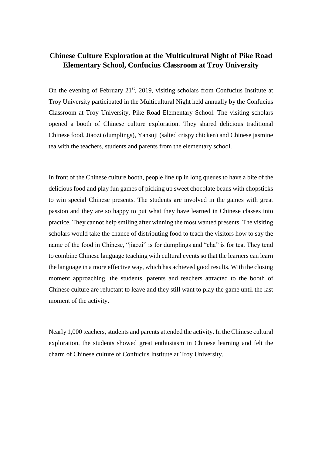## **Chinese Culture Exploration at the Multicultural Night of Pike Road Elementary School, Confucius Classroom at Troy University**

On the evening of February  $21<sup>st</sup>$ , 2019, visiting scholars from Confucius Institute at Troy University participated in the Multicultural Night held annually by the Confucius Classroom at Troy University, Pike Road Elementary School. The visiting scholars opened a booth of Chinese culture exploration. They shared delicious traditional Chinese food, Jiaozi (dumplings), Yansuji (salted crispy chicken) and Chinese jasmine tea with the teachers, students and parents from the elementary school.

In front of the Chinese culture booth, people line up in long queues to have a bite of the delicious food and play fun games of picking up sweet chocolate beans with chopsticks to win special Chinese presents. The students are involved in the games with great passion and they are so happy to put what they have learned in Chinese classes into practice. They cannot help smiling after winning the most wanted presents. The visiting scholars would take the chance of distributing food to teach the visitors how to say the name of the food in Chinese, "jiaozi" is for dumplings and "cha" is for tea. They tend to combine Chinese language teaching with cultural events so that the learners can learn the language in a more effective way, which has achieved good results. With the closing moment approaching, the students, parents and teachers attracted to the booth of Chinese culture are reluctant to leave and they still want to play the game until the last moment of the activity.

Nearly 1,000 teachers, students and parents attended the activity. In the Chinese cultural exploration, the students showed great enthusiasm in Chinese learning and felt the charm of Chinese culture of Confucius Institute at Troy University.